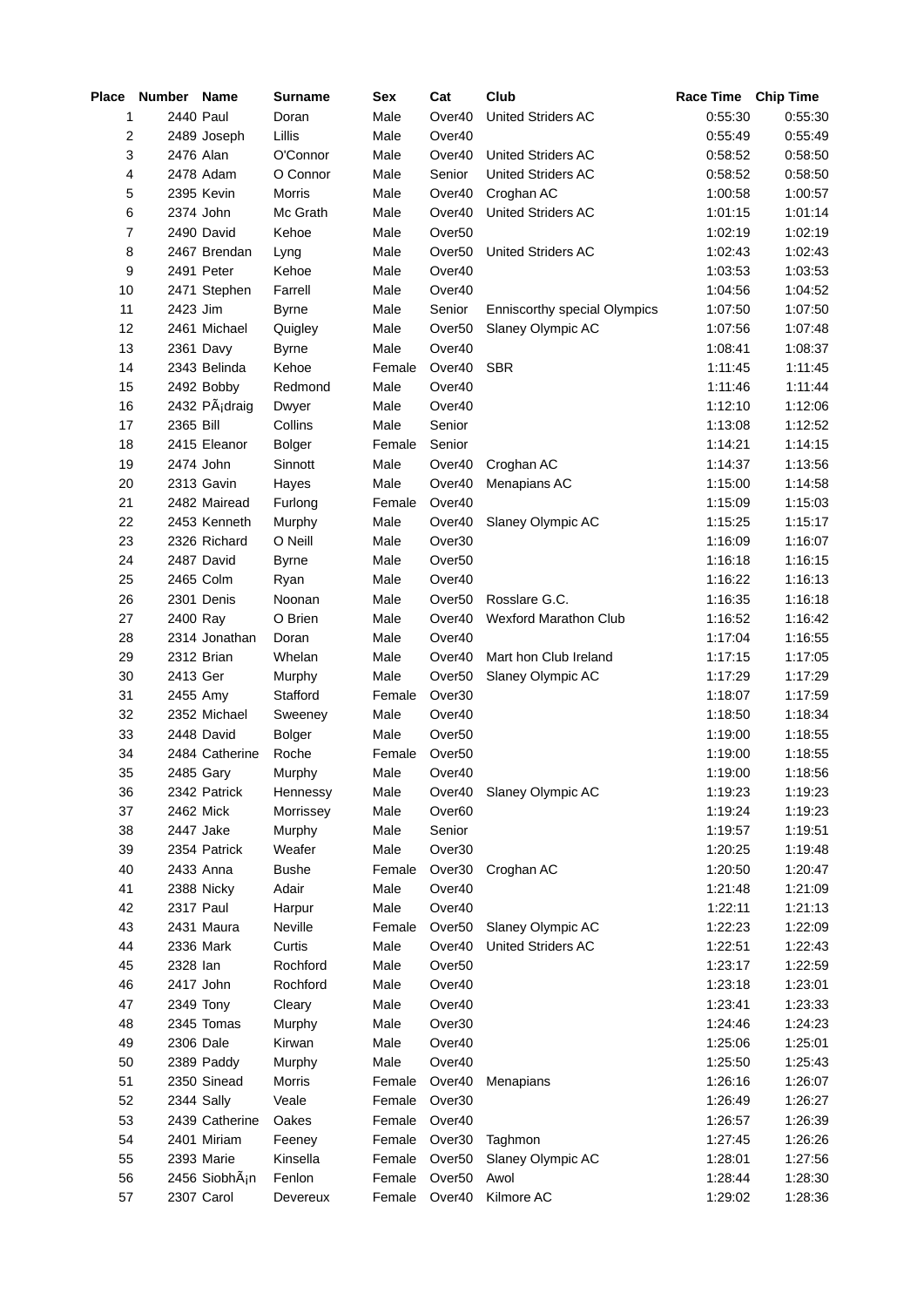| Place          | Number Name |                              | <b>Surname</b> | Sex    | Cat                                      | Club                         | Race Time Chip Time |                    |
|----------------|-------------|------------------------------|----------------|--------|------------------------------------------|------------------------------|---------------------|--------------------|
| 1              | 2440 Paul   |                              | Doran          | Male   | Over40                                   | United Striders AC           | 0.55:30             | 0:55:30            |
| 2              |             | 2489 Joseph                  | Lillis         | Male   | Over40                                   |                              | 0:55:49             | 0:55:49            |
| 3              | 2476 Alan   |                              | O'Connor       | Male   | Over40                                   | United Striders AC           | 0:58:52             | 0:58:50            |
| 4              |             | 2478 Adam                    | O Connor       | Male   | Senior                                   | United Striders AC           | 0:58:52             | 0:58:50            |
| 5              |             | 2395 Kevin                   | Morris         | Male   | Over40                                   | Croghan AC                   | 1:00:58             | 1:00:57            |
| 6              |             | 2374 John                    | Mc Grath       | Male   | Over40                                   | United Striders AC           | 1:01:15             | 1:01:14            |
| $\overline{7}$ |             | 2490 David                   | Kehoe          | Male   | Over <sub>50</sub>                       |                              | 1:02:19             | 1:02:19            |
| 8              |             | 2467 Brendan                 | Lyng           | Male   | Over <sub>50</sub>                       | United Striders AC           | 1:02:43             | 1:02:43            |
| 9              |             | 2491 Peter                   | Kehoe          | Male   | Over40                                   |                              | 1:03:53             | 1:03:53            |
| 10             |             | 2471 Stephen                 | Farrell        | Male   | Over40                                   |                              | 1:04:56             | 1:04:52            |
| $11\,$         | 2423 Jim    |                              | <b>Byrne</b>   | Male   | Senior                                   | Enniscorthy special Olympics | 1:07:50             | 1:07:50            |
| 12             |             | 2461 Michael                 | Quigley        | Male   | Over <sub>50</sub>                       | Slaney Olympic AC            | 1:07:56             | 1:07:48            |
| 13             |             | 2361 Davy                    | <b>Byrne</b>   | Male   | Over40                                   |                              | 1:08:41             | 1:08:37            |
| 14             |             | 2343 Belinda                 | Kehoe          | Female | Over40                                   | <b>SBR</b>                   | 1:11:45             | 1:11:45            |
| 15             |             | 2492 Bobby                   | Redmond        | Male   | Over40                                   |                              | 1:11:46             | 1:11:44            |
| 16             |             | 2432 Pádraig                 | Dwyer          | Male   | Over40                                   |                              | 1:12:10             | 1:12:06            |
| 17             | 2365 Bill   |                              | Collins        | Male   | Senior                                   |                              | 1:13:08             | 1:12:52            |
| 18             |             | 2415 Eleanor                 | <b>Bolger</b>  | Female | Senior                                   |                              | 1:14:21             | 1:14:15            |
| 19             |             | 2474 John                    | Sinnott        | Male   | Over40                                   | Croghan AC                   | 1:14:37             | 1:13:56            |
| 20             |             | 2313 Gavin                   | Hayes          | Male   | Over40                                   | Menapians AC                 | 1:15:00             | 1:14:58            |
| 21             |             | 2482 Mairead                 | Furlong        | Female | Over40                                   |                              | 1:15:09             | 1:15:03            |
| 22             |             | 2453 Kenneth                 | Murphy         | Male   | Over40                                   | Slaney Olympic AC            | 1:15:25             | 1:15:17            |
| 23             |             | 2326 Richard                 | O Neill        | Male   | Over30                                   |                              | 1:16:09             | 1:16:07            |
| 24             |             | 2487 David                   | <b>Byrne</b>   | Male   | Over <sub>50</sub>                       |                              | 1:16:18             | 1:16:15            |
| 25             |             | 2465 Colm                    | Ryan           | Male   | Over40                                   |                              | 1:16:22             | 1:16:13            |
| 26             |             | 2301 Denis                   | Noonan         | Male   | Over <sub>50</sub>                       | Rosslare G.C.                | 1:16:35             | 1:16:18            |
| 27             | 2400 Ray    |                              | O Brien        | Male   | Over40                                   | Wexford Marathon Club        | 1:16:52             | 1:16:42            |
| 28             |             | 2314 Jonathan                | Doran          | Male   | Over40                                   |                              | 1:17:04             | 1:16:55            |
|                |             | 2312 Brian                   | Whelan         |        |                                          |                              |                     |                    |
| 29             |             |                              |                | Male   | Over40                                   | Mart hon Club Ireland        | 1:17:15             | 1:17:05            |
| 30             | 2413 Ger    |                              | Murphy         | Male   | Over <sub>50</sub>                       | Slaney Olympic AC            | 1:17:29<br>1:18:07  | 1:17:29<br>1:17:59 |
| 31             | 2455 Amy    |                              | Stafford       | Female | Over <sub>30</sub>                       |                              |                     |                    |
| 32<br>33       |             | 2352 Michael                 | Sweeney        | Male   | Over40                                   |                              | 1:18:50<br>1.19:00  | 1:18:34            |
|                |             | 2448 David<br>2484 Catherine | <b>Bolger</b>  | Male   | Over <sub>50</sub><br>Over <sub>50</sub> |                              |                     | 1:18:55            |
| 34             |             |                              | Roche          | Female |                                          |                              | 1:19:00             | 1:18:55            |
| 35             |             | 2485 Gary                    | Murphy         | Male   | Over40                                   |                              | 1:19:00             | 1:18:56            |
| 36             |             | 2342 Patrick                 | Hennessy       | Male   | Over40                                   | Slaney Olympic AC            | 1:19:23             | 1:19:23            |
| 37             |             | 2462 Mick                    | Morrissey      | Male   | Over <sub>60</sub>                       |                              | 1:19:24             | 1:19:23            |
| 38             |             | 2447 Jake                    | Murphy         | Male   | Senior                                   |                              | 1:19:57             | 1:19:51            |
| 39             |             | 2354 Patrick                 | Weafer         | Male   | Over30                                   |                              | 1.20.25             | 1:19:48            |
| 40             |             | 2433 Anna                    | <b>Bushe</b>   | Female | Over30                                   | Croghan AC                   | 1.20:50             | 1:20:47            |
| 41             |             | 2388 Nicky                   | Adair          | Male   | Over40                                   |                              | 1:21:48             | 1:21:09            |
| 42             | 2317 Paul   |                              | Harpur         | Male   | Over40                                   |                              | 1:22:11             | 1:21:13            |
| 43             |             | 2431 Maura                   | Neville        | Female | Over <sub>50</sub>                       | Slaney Olympic AC            | 1:22:23             | 1:22:09            |
| 44             |             | 2336 Mark                    | Curtis         | Male   | Over40                                   | United Striders AC           | 1:22:51             | 1:22:43            |
| 45             | 2328 Ian    |                              | Rochford       | Male   | Over <sub>50</sub>                       |                              | 1:23:17             | 1:22:59            |
| 46             |             | 2417 John                    | Rochford       | Male   | Over40                                   |                              | 1:23:18             | 1:23:01            |
| 47             |             | 2349 Tony                    | Cleary         | Male   | Over40                                   |                              | 1:23:41             | 1:23:33            |
| 48             |             | 2345 Tomas                   | Murphy         | Male   | Over30                                   |                              | 1:24:46             | 1:24:23            |
| 49             | 2306 Dale   |                              | Kirwan         | Male   | Over40                                   |                              | 1:25:06             | 1:25:01            |
| 50             |             | 2389 Paddy                   | Murphy         | Male   | Over40                                   |                              | 1:25:50             | 1:25:43            |
| 51             |             | 2350 Sinead                  | <b>Morris</b>  | Female | Over40                                   | Menapians                    | 1:26:16             | 1:26:07            |
| 52             |             | 2344 Sally                   | Veale          | Female | Over30                                   |                              | 1:26:49             | 1:26:27            |
| 53             |             | 2439 Catherine               | Oakes          | Female | Over40                                   |                              | 1:26:57             | 1:26:39            |
| 54             |             | 2401 Miriam                  | Feeney         | Female | Over30                                   | Taghmon                      | 1:27:45             | 1:26:26            |
| 55             |             | 2393 Marie                   | Kinsella       | Female | Over <sub>50</sub>                       | Slaney Olympic AC            | 1:28:01             | 1:27:56            |
| 56             |             | 2456 SiobhÃ <sub>i</sub> n   | Fenlon         | Female | Over <sub>50</sub>                       | Awol                         | 1:28:44             | 1:28:30            |
| 57             |             | 2307 Carol                   | Devereux       | Female | Over40                                   | Kilmore AC                   | 1:29:02             | 1:28:36            |
|                |             |                              |                |        |                                          |                              |                     |                    |